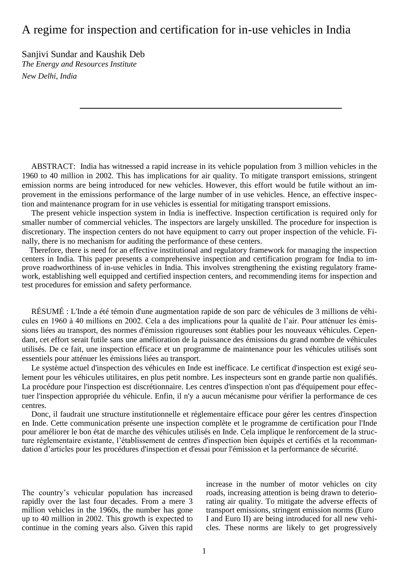# A regime for inspection and certification for in-use vehicles in India

Sanjivi Sundar and Kaushik Deb *The Energy and Resources Institute New Delhi, India*

ABSTRACT: India has witnessed a rapid increase in its vehicle population from 3 million vehicles in the 1960 to 40 million in 2002. This has implications for air quality. To mitigate transport emissions, stringent emission norms are being introduced for new vehicles. However, this effort would be futile without an improvement in the emissions performance of the large number of in use vehicles. Hence, an effective inspection and maintenance program for in use vehicles is essential for mitigating transport emissions.

The present vehicle inspection system in India is ineffective. Inspection certification is required only for smaller number of commercial vehicles. The inspectors are largely unskilled. The procedure for inspection is discretionary. The inspection centers do not have equipment to carry out proper inspection of the vehicle. Finally, there is no mechanism for auditing the performance of these centers.

Therefore, there is need for an effective institutional and regulatory framework for managing the inspection centers in India. This paper presents a comprehensive inspection and certification program for India to improve roadworthiness of in-use vehicles in India. This involves strengthening the existing regulatory framework, establishing well equipped and certified inspection centers, and recommending items for inspection and test procedures for emission and safety performance.

RÉSUMÉ : L'Inde a été témoin d'une augmentation rapide de son parc de véhicules de 3 millions de véhicules en 1960 à 40 millions en 2002. Cela a des implications pour la qualité de l'air. Pour atténuer les émissions liées au transport, des normes d'émission rigoureuses sont établies pour les nouveaux véhicules. Cependant, cet effort serait futile sans une amélioration de la puissance des émissions du grand nombre de véhicules utilisés. De ce fait, une inspection efficace et un programme de maintenance pour les véhicules utilisés sont essentiels pour atténuer les émissions liées au transport.

Le système actuel d'inspection des véhicules en Inde est inefficace. Le certificat d'inspection est exigé seulement pour les véhicules utilitaires, en plus petit nombre. Les inspecteurs sont en grande partie non qualifiés. La procédure pour l'inspection est discrétionnaire. Les centres d'inspection n'ont pas d'équipement pour effectuer l'inspection appropriée du véhicule. Enfin, il n'y a aucun mécanisme pour vérifier la performance de ces centres.

Donc, il faudrait une structure institutionnelle et réglementaire efficace pour gérer les centres d'inspection en Inde. Cette communication présente une inspection complète et le programme de certification pour l'Inde pour améliorer le bon état de marche des véhicules utilisés en Inde. Cela implique le renforcement de la structure réglementaire existante, l'établissement de centres d'inspection bien équipés et certifiés et la recommandation d'articles pour les procédures d'inspection et d'essai pour l'émission et la performance de sécurité.

The country's vehicular population has increased rapidly over the last four decades. From a mere 3 million vehicles in the 1960s, the number has gone up to 40 million in 2002. This growth is expected to continue in the coming years also. Given this rapid

increase in the number of motor vehicles on city roads, increasing attention is being drawn to deteriorating air quality. To mitigate the adverse effects of transport emissions, stringent emission norms (Euro I and Euro II) are being introduced for all new vehicles. These norms are likely to get progressively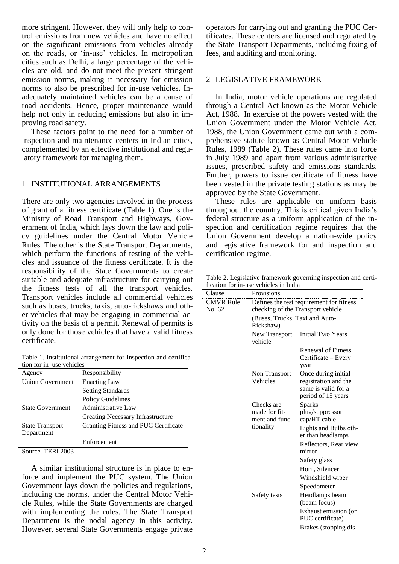more stringent. However, they will only help to control emissions from new vehicles and have no effect on the significant emissions from vehicles already on the roads, or 'in-use' vehicles. In metropolitan cities such as Delhi, a large percentage of the vehicles are old, and do not meet the present stringent emission norms, making it necessary for emission norms to also be prescribed for in-use vehicles. Inadequately maintained vehicles can be a cause of road accidents. Hence, proper maintenance would help not only in reducing emissions but also in improving road safety.

These factors point to the need for a number of inspection and maintenance centers in Indian cities, complemented by an effective institutional and regulatory framework for managing them.

#### 1 INSTITUTIONAL ARRANGEMENTS

There are only two agencies involved in the process of grant of a fitness certificate (Table 1). One is the Ministry of Road Transport and Highways, Government of India, which lays down the law and policy guidelines under the Central Motor Vehicle Rules. The other is the State Transport Departments, which perform the functions of testing of the vehicles and issuance of the fitness certificate. It is the responsibility of the State Governments to create suitable and adequate infrastructure for carrying out the fitness tests of all the transport vehicles. Transport vehicles include all commercial vehicles such as buses, trucks, taxis, auto-rickshaws and other vehicles that may be engaging in commercial activity on the basis of a permit. Renewal of permits is only done for those vehicles that have a valid fitness certificate.

Table 1. Institutional arrangement for inspection and certification for in–use vehicles

| Agency                  | Responsibility                       |
|-------------------------|--------------------------------------|
| <b>Union Government</b> | <b>Enacting Law</b>                  |
|                         | <b>Setting Standards</b>             |
|                         | <b>Policy Guidelines</b>             |
| <b>State Government</b> | Administrative Law                   |
|                         | Creating Necessary Infrastructure    |
| <b>State Transport</b>  | Granting Fitness and PUC Certificate |
| Department              |                                      |
|                         | Enforcement                          |

Source. TERI 2003

A similar institutional structure is in place to enforce and implement the PUC system. The Union Government lays down the policies and regulations, including the norms, under the Central Motor Vehicle Rules, while the State Governments are charged with implementing the rules. The State Transport Department is the nodal agency in this activity. However, several State Governments engage private

operators for carrying out and granting the PUC Certificates. These centers are licensed and regulated by the State Transport Departments, including fixing of fees, and auditing and monitoring.

# 2 LEGISLATIVE FRAMEWORK

In India, motor vehicle operations are regulated through a Central Act known as the Motor Vehicle Act, 1988. In exercise of the powers vested with the Union Government under the Motor Vehicle Act, 1988, the Union Government came out with a comprehensive statute known as Central Motor Vehicle Rules, 1989 (Table 2). These rules came into force in July 1989 and apart from various administrative issues, prescribed safety and emissions standards. Further, powers to issue certificate of fitness have been vested in the private testing stations as may be approved by the State Government.

These rules are applicable on uniform basis throughout the country. This is critical given India's federal structure as a uniform application of the inspection and certification regime requires that the Union Government develop a nation-wide policy and legislative framework for and inspection and certification regime.

Table 2. Legislative framework governing inspection and certification for in-use vehicles in India

| Clause                     | Provisions                                                 |                                                                                                                                                                          |  |  |  |
|----------------------------|------------------------------------------------------------|--------------------------------------------------------------------------------------------------------------------------------------------------------------------------|--|--|--|
| <b>CMVR Rule</b><br>No. 62 |                                                            | Defines the test requirement for fitness<br>checking of the Transport vehicle                                                                                            |  |  |  |
|                            | Rickshaw)                                                  | (Buses, Trucks, Taxi and Auto-                                                                                                                                           |  |  |  |
|                            | New Transport<br>vehicle                                   | <b>Initial Two Years</b>                                                                                                                                                 |  |  |  |
|                            |                                                            | <b>Renewal of Fitness</b><br>Certificate – Every<br>year                                                                                                                 |  |  |  |
|                            | Non Transport<br>Vehicles                                  | Once during initial<br>registration and the<br>same is valid for a<br>period of 15 years                                                                                 |  |  |  |
|                            | Checks are<br>made for fit-<br>ment and func-<br>tionality | <b>Sparks</b><br>plug/suppressor<br>cap/HT cable<br>Lights and Bulbs oth-<br>er than headlamps<br>Reflectors, Rear view<br>mirror                                        |  |  |  |
|                            | Safety tests                                               | Safety glass<br>Horn, Silencer<br>Windshield wiper<br>Speedometer<br>Headlamps beam<br>(beam focus)<br>Exhaust emission (or<br>PUC certificate)<br>Brakes (stopping dis- |  |  |  |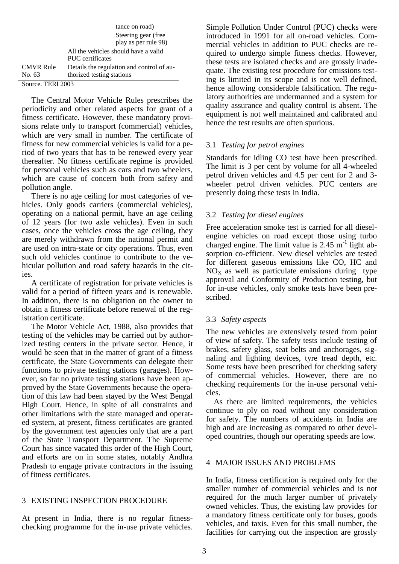|                            | tance on road)                                                         |
|----------------------------|------------------------------------------------------------------------|
|                            | Steering gear (free.                                                   |
|                            | play as per rule 98)                                                   |
|                            | All the vehicles should have a valid<br>PUC certificates               |
| <b>CMVR Rule</b><br>No. 63 | Details the regulation and control of au-<br>thorized testing stations |
| $\sim$<br>$mnnI$ $000$     |                                                                        |

Source. TERI 2003

The Central Motor Vehicle Rules prescribes the periodicity and other related aspects for grant of a fitness certificate. However, these mandatory provisions relate only to transport (commercial) vehicles, which are very small in number. The certificate of fitness for new commercial vehicles is valid for a period of two years that has to be renewed every year thereafter. No fitness certificate regime is provided for personal vehicles such as cars and two wheelers, which are cause of concern both from safety and pollution angle.

There is no age ceiling for most categories of vehicles. Only goods carriers (commercial vehicles), operating on a national permit, have an age ceiling of 12 years (for two axle vehicles). Even in such cases, once the vehicles cross the age ceiling, they are merely withdrawn from the national permit and are used on intra-state or city operations. Thus, even such old vehicles continue to contribute to the vehicular pollution and road safety hazards in the cities.

A certificate of registration for private vehicles is valid for a period of fifteen years and is renewable. In addition, there is no obligation on the owner to obtain a fitness certificate before renewal of the registration certificate.

The Motor Vehicle Act, 1988, also provides that testing of the vehicles may be carried out by authorized testing centers in the private sector. Hence, it would be seen that in the matter of grant of a fitness certificate, the State Governments can delegate their functions to private testing stations (garages). However, so far no private testing stations have been approved by the State Governments because the operation of this law had been stayed by the West Bengal High Court. Hence, in spite of all constraints and other limitations with the state managed and operated system, at present, fitness certificates are granted by the government test agencies only that are a part of the State Transport Department. The Supreme Court has since vacated this order of the High Court, and efforts are on in some states, notably Andhra Pradesh to engage private contractors in the issuing of fitness certificates.

# 3 EXISTING INSPECTION PROCEDURE

At present in India, there is no regular fitnesschecking programme for the in-use private vehicles.

Simple Pollution Under Control (PUC) checks were introduced in 1991 for all on-road vehicles. Commercial vehicles in addition to PUC checks are required to undergo simple fitness checks. However, these tests are isolated checks and are grossly inadequate. The existing test procedure for emissions testing is limited in its scope and is not well defined, hence allowing considerable falsification. The regulatory authorities are undermanned and a system for quality assurance and quality control is absent. The equipment is not well maintained and calibrated and hence the test results are often spurious.

# 3.1 *Testing for petrol engines*

Standards for idling CO test have been prescribed. The limit is 3 per cent by volume for all 4-wheeled petrol driven vehicles and 4.5 per cent for 2 and 3 wheeler petrol driven vehicles. PUC centers are presently doing these tests in India.

# 3.2 *Testing for diesel engines*

Free acceleration smoke test is carried for all dieselengine vehicles on road except those using turbo charged engine. The limit value is  $2.45 \text{ m}^{-1}$  light absorption co-efficient. New diesel vehicles are tested for different gaseous emissions like CO, HC and  $NO<sub>X</sub>$  as well as particulate emissions during type approval and Conformity of Production testing, but for in-use vehicles, only smoke tests have been prescribed.

# 3.3 *Safety aspects*

The new vehicles are extensively tested from point of view of safety. The safety tests include testing of brakes, safety glass, seat belts and anchorages, signaling and lighting devices, tyre tread depth, etc. Some tests have been prescribed for checking safety of commercial vehicles. However, there are no checking requirements for the in-use personal vehicles.

As there are limited requirements, the vehicles continue to ply on road without any consideration for safety. The numbers of accidents in India are high and are increasing as compared to other developed countries, though our operating speeds are low.

# 4 MAJOR ISSUES AND PROBLEMS

In India, fitness certification is required only for the smaller number of commercial vehicles and is not required for the much larger number of privately owned vehicles. Thus, the existing law provides for a mandatory fitness certificate only for buses, goods vehicles, and taxis. Even for this small number, the facilities for carrying out the inspection are grossly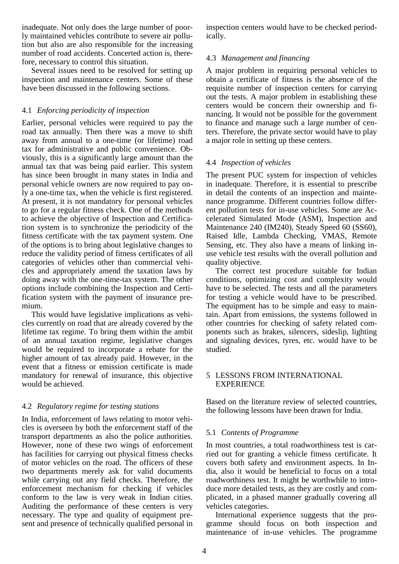inadequate. Not only does the large number of poorly maintained vehicles contribute to severe air pollution but also are also responsible for the increasing number of road accidents. Concerted action is, therefore, necessary to control this situation.

Several issues need to be resolved for setting up inspection and maintenance centers. Some of these have been discussed in the following sections.

# 4.1 *Enforcing periodicity of inspection*

Earlier, personal vehicles were required to pay the road tax annually. Then there was a move to shift away from annual to a one-time (or lifetime) road tax for administrative and public convenience. Obviously, this is a significantly large amount than the annual tax that was being paid earlier. This system has since been brought in many states in India and personal vehicle owners are now required to pay only a one-time tax, when the vehicle is first registered. At present, it is not mandatory for personal vehicles to go for a regular fitness check. One of the methods to achieve the objective of Inspection and Certification system is to synchronize the periodicity of the fitness certificate with the tax payment system. One of the options is to bring about legislative changes to reduce the validity period of fitness certificates of all categories of vehicles other than commercial vehicles and appropriately amend the taxation laws by doing away with the one-time-tax system. The other options include combining the Inspection and Certification system with the payment of insurance premium.

This would have legislative implications as vehicles currently on road that are already covered by the lifetime tax regime. To bring them within the ambit of an annual taxation regime, legislative changes would be required to incorporate a rebate for the higher amount of tax already paid. However, in the event that a fitness or emission certificate is made mandatory for renewal of insurance, this objective would be achieved.

# 4.2 *Regulatory regime for testing stations*

In India, enforcement of laws relating to motor vehicles is overseen by both the enforcement staff of the transport departments as also the police authorities. However, none of these two wings of enforcement has facilities for carrying out physical fitness checks of motor vehicles on the road. The officers of these two departments merely ask for valid documents while carrying out any field checks. Therefore, the enforcement mechanism for checking if vehicles conform to the law is very weak in Indian cities. Auditing the performance of these centers is very necessary. The type and quality of equipment present and presence of technically qualified personal in

inspection centers would have to be checked periodically.

# 4.3 *Management and financing*

A major problem in requiring personal vehicles to obtain a certificate of fitness is the absence of the requisite number of inspection centers for carrying out the tests. A major problem in establishing these centers would be concern their ownership and financing. It would not be possible for the government to finance and manage such a large number of centers. Therefore, the private sector would have to play a major role in setting up these centers.

### 4.4 *Inspection of vehicles*

The present PUC system for inspection of vehicles in inadequate. Therefore, it is essential to prescribe in detail the contents of an inspection and maintenance programme. Different countries follow different pollution tests for in-use vehicles. Some are Accelerated Simulated Mode (ASM), Inspection and Maintenance 240 (IM240), Steady Speed 60 (SS60), Raised Idle, Lambda Checking, VMAS, Remote Sensing, etc. They also have a means of linking inuse vehicle test results with the overall pollution and quality objective.

The correct test procedure suitable for Indian conditions, optimizing cost and complexity would have to be selected. The tests and all the parameters for testing a vehicle would have to be prescribed. The equipment has to be simple and easy to maintain. Apart from emissions, the systems followed in other countries for checking of safety related components such as brakes, silencers, sideslip, lighting and signaling devices, tyres, etc. would have to be studied.

#### 5 LESSONS FROM INTERNATIONAL EXPERIENCE

Based on the literature review of selected countries, the following lessons have been drawn for India.

#### 5.1 *Contents of Programme*

In most countries, a total roadworthiness test is carried out for granting a vehicle fitness certificate. It covers both safety and environment aspects. In India, also it would be beneficial to focus on a total roadworthiness test. It might be worthwhile to introduce more detailed tests, as they are costly and complicated, in a phased manner gradually covering all vehicles categories.

International experience suggests that the programme should focus on both inspection and maintenance of in-use vehicles. The programme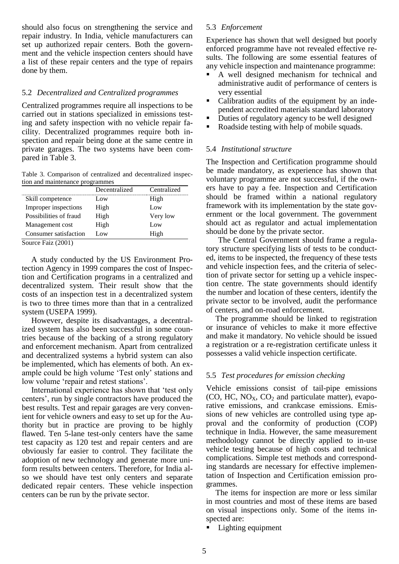should also focus on strengthening the service and repair industry. In India, vehicle manufacturers can set up authorized repair centers. Both the government and the vehicle inspection centers should have a list of these repair centers and the type of repairs done by them.

#### 5.2 *Decentralized and Centralized programmes*

Centralized programmes require all inspections to be carried out in stations specialized in emissions testing and safety inspection with no vehicle repair facility. Decentralized programmes require both inspection and repair being done at the same centre in private garages. The two systems have been compared in Table 3.

Table 3. Comparison of centralized and decentralized inspection and maintenance programmes

| Decentralized | Centralized |
|---------------|-------------|
| Low           | High        |
| High          | Low.        |
| High          | Very low    |
| High          | Low.        |
| Low.          | High        |
|               |             |

Source Faiz (2001)

A study conducted by the US Environment Protection Agency in 1999 compares the cost of Inspection and Certification programs in a centralized and decentralized system. Their result show that the costs of an inspection test in a decentralized system is two to three times more than that in a centralized system (USEPA 1999).

However, despite its disadvantages, a decentralized system has also been successful in some countries because of the backing of a strong regulatory and enforcement mechanism. Apart from centralized and decentralized systems a hybrid system can also be implemented, which has elements of both. An example could be high volume 'Test only' stations and low volume 'repair and retest stations'.

International experience has shown that 'test only centers', run by single contractors have produced the best results. Test and repair garages are very convenient for vehicle owners and easy to set up for the Authority but in practice are proving to be highly flawed. Ten 5-lane test-only centers have the same test capacity as 120 test and repair centers and are obviously far easier to control. They facilitate the adoption of new technology and generate more uniform results between centers. Therefore, for India also we should have test only centers and separate dedicated repair centers. These vehicle inspection centers can be run by the private sector.

### 5.3 *Enforcement*

Experience has shown that well designed but poorly enforced programme have not revealed effective results. The following are some essential features of any vehicle inspection and maintenance programme:

- A well designed mechanism for technical and administrative audit of performance of centers is very essential
- Calibration audits of the equipment by an independent accredited materials standard laboratory
- Duties of regulatory agency to be well designed
- Roadside testing with help of mobile squads.

#### 5.4 *Institutional structure*

The Inspection and Certification programme should be made mandatory, as experience has shown that voluntary programme are not successful, if the owners have to pay a fee. Inspection and Certification should be framed within a national regulatory framework with its implementation by the state government or the local government. The government should act as regulator and actual implementation should be done by the private sector.

The Central Government should frame a regulatory structure specifying lists of tests to be conducted, items to be inspected, the frequency of these tests and vehicle inspection fees, and the criteria of selection of private sector for setting up a vehicle inspection centre. The state governments should identify the number and location of these centers, identify the private sector to be involved, audit the performance of centers, and on-road enforcement.

The programme should be linked to registration or insurance of vehicles to make it more effective and make it mandatory. No vehicle should be issued a registration or a re-registration certificate unless it possesses a valid vehicle inspection certificate.

#### 5.5 *Test procedures for emission checking*

Vehicle emissions consist of tail-pipe emissions (CO, HC,  $NO<sub>X</sub>$ , CO<sub>2</sub> and particulate matter), evaporative emissions, and crankcase emissions. Emissions of new vehicles are controlled using type approval and the conformity of production (COP) technique in India. However, the same measurement methodology cannot be directly applied to in-use vehicle testing because of high costs and technical complications. Simple test methods and corresponding standards are necessary for effective implementation of Inspection and Certification emission programmes.

The items for inspection are more or less similar in most countries and most of these items are based on visual inspections only. Some of the items inspected are:

Lighting equipment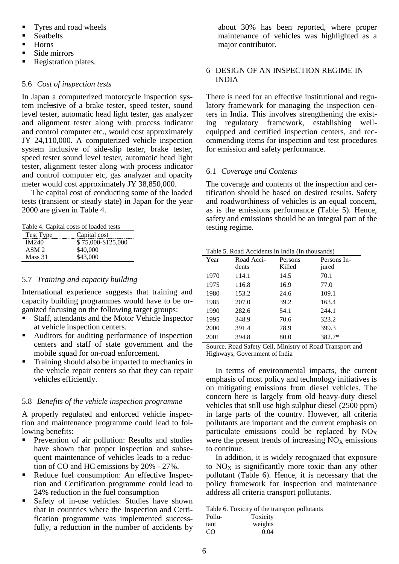- Tyres and road wheels
- **Seathelts**
- Horns
- Side mirrors
- Registration plates.

#### 5.6 *Cost of inspection tests*

In Japan a computerized motorcycle inspection system inclusive of a brake tester, speed tester, sound level tester, automatic head light tester, gas analyzer and alignment tester along with process indicator and control computer etc., would cost approximately JY 24,110,000. A computerized vehicle inspection system inclusive of side-slip tester, brake tester, speed tester sound level tester, automatic head light tester, alignment tester along with process indicator and control computer etc, gas analyzer and opacity meter would cost approximately JY 38,850,000.

The capital cost of conducting some of the loaded tests (transient or steady state) in Japan for the year 2000 are given in Table 4.

| Table 4. Capital costs of loaded tests |  |  |  |  |  |  |
|----------------------------------------|--|--|--|--|--|--|
|----------------------------------------|--|--|--|--|--|--|

| Test Type        | Capital cost       |
|------------------|--------------------|
| IM240            | \$75,000-\$125,000 |
| ASM <sub>2</sub> | \$40,000           |
| Mass 31          | \$43,000           |

#### 5.7 *Training and capacity building*

International experience suggests that training and capacity building programmes would have to be organized focusing on the following target groups:

- Staff, attendants and the Motor Vehicle Inspector at vehicle inspection centers.
- Auditors for auditing performance of inspection centers and staff of state government and the mobile squad for on-road enforcement.
- **Training should also be imparted to mechanics in** the vehicle repair centers so that they can repair vehicles efficiently.

#### 5.8 *Benefits of the vehicle inspection programme*

A properly regulated and enforced vehicle inspection and maintenance programme could lead to following benefits:

- **Prevention of air pollution: Results and studies** have shown that proper inspection and subsequent maintenance of vehicles leads to a reduction of CO and HC emissions by 20% - 27%.
- Reduce fuel consumption: An effective Inspection and Certification programme could lead to 24% reduction in the fuel consumption
- Safety of in-use vehicles: Studies have shown that in countries where the Inspection and Certification programme was implemented successfully, a reduction in the number of accidents by

about 30% has been reported, where proper maintenance of vehicles was highlighted as a major contributor.

# 6 DESIGN OF AN INSPECTION REGIME IN INDIA

There is need for an effective institutional and regulatory framework for managing the inspection centers in India. This involves strengthening the existing regulatory framework, establishing wellequipped and certified inspection centers, and recommending items for inspection and test procedures for emission and safety performance.

### 6.1 *Coverage and Contents*

The coverage and contents of the inspection and certification should be based on desired results. Safety and roadworthiness of vehicles is an equal concern, as is the emissions performance (Table 5). Hence, safety and emissions should be an integral part of the testing regime.

|  |  |  | Table 5. Road Accidents in India (In thousands) |
|--|--|--|-------------------------------------------------|
|  |  |  |                                                 |

| Year | Road Acci- | Persons | Persons In- |
|------|------------|---------|-------------|
|      | dents      | Killed  | jured       |
| 1970 | 114.1      | 14.5    | 70.1        |
| 1975 | 116.8      | 16.9    | 77.0        |
| 1980 | 153.2      | 24.6    | 109.1       |
| 1985 | 207.0      | 39.2    | 163.4       |
| 1990 | 282.6      | 54.1    | 244.1       |
| 1995 | 348.9      | 70.6    | 323.2       |
| 2000 | 391.4      | 78.9    | 399.3       |
| 2001 | 394.8      |         | 382.7*      |
|      |            |         |             |

Source. Road Safety Cell, Ministry of Road Transport and Highways, Government of India

In terms of environmental impacts, the current emphasis of most policy and technology initiatives is on mitigating emissions from diesel vehicles. The concern here is largely from old heavy-duty diesel vehicles that still use high sulphur diesel (2500 ppm) in large parts of the country. However, all criteria pollutants are important and the current emphasis on particulate emissions could be replaced by  $NO<sub>X</sub>$ were the present trends of increasing  $NO<sub>X</sub>$  emissions to continue.

In addition, it is widely recognized that exposure to  $NO<sub>X</sub>$  is significantly more toxic than any other pollutant (Table 6). Hence, it is necessary that the policy framework for inspection and maintenance address all criteria transport pollutants.

Table 6. Toxicity of the transport pollutants

| Pollu- | Toxicity |
|--------|----------|
| tant   | weights  |
| ( )' ) | 0.04     |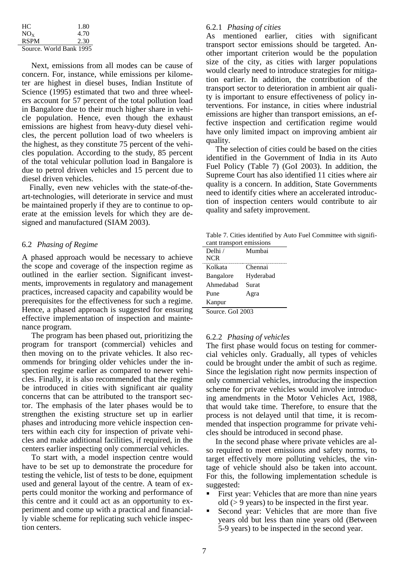| HC.                     | 1.80 |
|-------------------------|------|
| $NO_{X}$                | 4.70 |
| <b>RSPM</b>             | 2.30 |
| Source. World Bank 1995 |      |

Next, emissions from all modes can be cause of concern. For, instance, while emissions per kilometer are highest in diesel buses, Indian Institute of Science (1995) estimated that two and three wheelers account for 57 percent of the total pollution load in Bangalore due to their much higher share in vehicle population. Hence, even though the exhaust emissions are highest from heavy-duty diesel vehicles, the percent pollution load of two wheelers is the highest, as they constitute 75 percent of the vehicles population. According to the study, 85 percent of the total vehicular pollution load in Bangalore is due to petrol driven vehicles and 15 percent due to diesel driven vehicles.

Finally, even new vehicles with the state-of-theart-technologies, will deteriorate in service and must be maintained properly if they are to continue to operate at the emission levels for which they are designed and manufactured (SIAM 2003).

#### 6.2 *Phasing of Regime*

A phased approach would be necessary to achieve the scope and coverage of the inspection regime as outlined in the earlier section. Significant investments, improvements in regulatory and management practices, increased capacity and capability would be prerequisites for the effectiveness for such a regime. Hence, a phased approach is suggested for ensuring effective implementation of inspection and maintenance program.

The program has been phased out, prioritizing the program for transport (commercial) vehicles and then moving on to the private vehicles. It also recommends for bringing older vehicles under the inspection regime earlier as compared to newer vehicles. Finally, it is also recommended that the regime be introduced in cities with significant air quality concerns that can be attributed to the transport sector. The emphasis of the later phases would be to strengthen the existing structure set up in earlier phases and introducing more vehicle inspection centers within each city for inspection of private vehicles and make additional facilities, if required, in the centers earlier inspecting only commercial vehicles.

To start with, a model inspection centre would have to be set up to demonstrate the procedure for testing the vehicle, list of tests to be done, equipment used and general layout of the centre. A team of experts could monitor the working and performance of this centre and it could act as an opportunity to experiment and come up with a practical and financially viable scheme for replicating such vehicle inspection centers.

#### 6.2.1 *Phasing of cities*

As mentioned earlier, cities with significant transport sector emissions should be targeted. Another important criterion would be the population size of the city, as cities with larger populations would clearly need to introduce strategies for mitigation earlier. In addition, the contribution of the transport sector to deterioration in ambient air quality is important to ensure effectiveness of policy interventions. For instance, in cities where industrial emissions are higher than transport emissions, an effective inspection and certification regime would have only limited impact on improving ambient air quality.

The selection of cities could be based on the cities identified in the Government of India in its Auto Fuel Policy (Table 7) (GoI 2003). In addition, the Supreme Court has also identified 11 cities where air quality is a concern. In addition, State Governments need to identify cities where an accelerated introduction of inspection centers would contribute to air quality and safety improvement.

Table 7. Cities identified by Auto Fuel Committee with significant transport emissions

| Delhi /          | Mumbai    |
|------------------|-----------|
| <b>NCR</b>       |           |
| Kolkata          | Chennai   |
| <b>Bangalore</b> | Hyderabad |
| Ahmedabad        | Surat     |
| Pune             | Agra      |
| Kanpur           |           |
|                  |           |

Source. GoI 2003

#### 6.2.2 *Phasing of vehicles*

The first phase would focus on testing for commercial vehicles only. Gradually, all types of vehicles could be brought under the ambit of such as regime. Since the legislation right now permits inspection of only commercial vehicles, introducing the inspection scheme for private vehicles would involve introducing amendments in the Motor Vehicles Act, 1988, that would take time. Therefore, to ensure that the process is not delayed until that time, it is recommended that inspection programme for private vehicles should be introduced in second phase.

In the second phase where private vehicles are also required to meet emissions and safety norms, to target effectively more polluting vehicles, the vintage of vehicle should also be taken into account. For this, the following implementation schedule is suggested:

- First year: Vehicles that are more than nine years old (> 9 years) to be inspected in the first year.
- Second year: Vehicles that are more than five years old but less than nine years old (Between 5-9 years) to be inspected in the second year.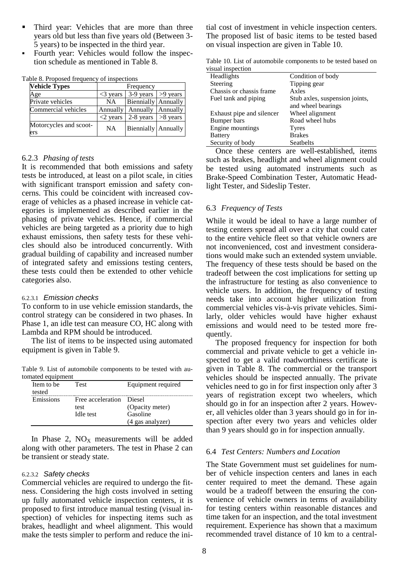- Third year: Vehicles that are more than three years old but less than five years old (Between 3- 5 years) to be inspected in the third year.
- Fourth year: Vehicles would follow the inspection schedule as mentioned in Table 8.

| <b>Vehicle Types</b>          | Frequency                              |                     |            |  |
|-------------------------------|----------------------------------------|---------------------|------------|--|
| Age                           | 3-9 years<br>$>9$ years<br>$<$ 3 years |                     |            |  |
| Private vehicles              | <b>NA</b>                              | Biennially Annually |            |  |
| Commercial vehicles           | Annually                               | Annually Annually   |            |  |
|                               | $<$ 2 years                            | $2-8$ years         | $>8$ years |  |
| Motorcycles and scoot-<br>ers | ΝA                                     | Biennially Annually |            |  |

Table 8. Proposed frequency of inspections

#### 6.2.3 *Phasing of tests*

It is recommended that both emissions and safety tests be introduced, at least on a pilot scale, in cities with significant transport emission and safety concerns. This could be coincident with increased coverage of vehicles as a phased increase in vehicle categories is implemented as described earlier in the phasing of private vehicles. Hence, if commercial vehicles are being targeted as a priority due to high exhaust emissions, then safety tests for these vehicles should also be introduced concurrently. With gradual building of capability and increased number of integrated safety and emissions testing centers, these tests could then be extended to other vehicle categories also.

#### 6.2.3.1 *Emission checks*

To conform to in use vehicle emission standards, the control strategy can be considered in two phases. In Phase 1, an idle test can measure CO, HC along with Lambda and RPM should be introduced.

The list of items to be inspected using automated equipment is given in Table 9.

Table 9. List of automobile components to be tested with automated equipment

| Item to be<br>tested | <b>Test</b>                                   | Equipment required                              |
|----------------------|-----------------------------------------------|-------------------------------------------------|
| Emissions            | Free acceleration Diesel<br>test<br>Idle test | (Opacity meter)<br>Gasoline<br>(4 gas analyzer) |

In Phase 2,  $NO<sub>X</sub>$  measurements will be added along with other parameters. The test in Phase 2 can be transient or steady state.

#### 6.2.3.2 *Safety checks*

Commercial vehicles are required to undergo the fitness. Considering the high costs involved in setting up fully automated vehicle inspection centers, it is proposed to first introduce manual testing (visual inspection) of vehicles for inspecting items such as brakes, headlight and wheel alignment. This would make the tests simpler to perform and reduce the initial cost of investment in vehicle inspection centers. The proposed list of basic items to be tested based on visual inspection are given in Table 10.

Table 10. List of automobile components to be tested based on visual inspection

| лман нізреспон            |                                |  |
|---------------------------|--------------------------------|--|
| Headlights                | Condition of body              |  |
| Steering                  | Tipping gear                   |  |
| Chassis or chassis frame  | Axles                          |  |
| Fuel tank and piping      | Stub axles, suspension joints, |  |
|                           | and wheel bearings             |  |
| Exhaust pipe and silencer | Wheel alignment                |  |
| Bumper bars               | Road wheel hubs                |  |
| Engine mountings          | <b>Tyres</b>                   |  |
| <b>Battery</b>            | <b>Brakes</b>                  |  |
| Security of body          | Seatbelts                      |  |

Once these centers are well-established, items such as brakes, headlight and wheel alignment could be tested using automated instruments such as Brake-Speed Combination Tester, Automatic Headlight Tester, and Sideslip Tester.

#### 6.3 *Frequency of Tests*

While it would be ideal to have a large number of testing centers spread all over a city that could cater to the entire vehicle fleet so that vehicle owners are not inconvenienced, cost and investment considerations would make such an extended system unviable. The frequency of these tests should be based on the tradeoff between the cost implications for setting up the infrastructure for testing as also convenience to vehicle users. In addition, the frequency of testing needs take into account higher utilization from commercial vehicles vis-à-vis private vehicles. Similarly, older vehicles would have higher exhaust emissions and would need to be tested more frequently.

The proposed frequency for inspection for both commercial and private vehicle to get a vehicle inspected to get a valid roadworthiness certificate is given in Table 8. The commercial or the transport vehicles should be inspected annually. The private vehicles need to go in for first inspection only after 3 years of registration except two wheelers, which should go in for an inspection after 2 years. However, all vehicles older than 3 years should go in for inspection after every two years and vehicles older than 9 years should go in for inspection annually.

#### 6.4 *Test Centers: Numbers and Location*

The State Government must set guidelines for number of vehicle inspection centers and lanes in each center required to meet the demand. These again would be a tradeoff between the ensuring the convenience of vehicle owners in terms of availability for testing centers within reasonable distances and time taken for an inspection, and the total investment requirement. Experience has shown that a maximum recommended travel distance of 10 km to a central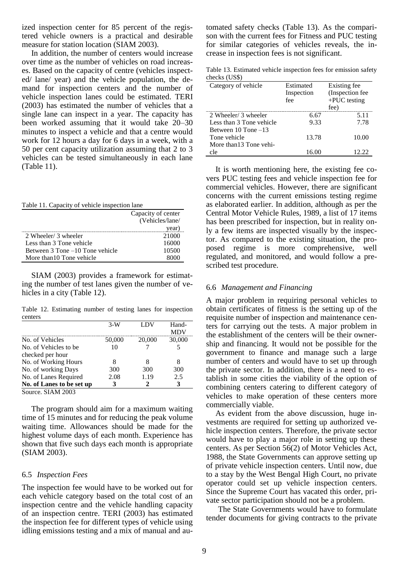ized inspection center for 85 percent of the registered vehicle owners is a practical and desirable measure for station location (SIAM 2003).

In addition, the number of centers would increase over time as the number of vehicles on road increases. Based on the capacity of centre (vehicles inspected/ lane/ year) and the vehicle population, the demand for inspection centers and the number of vehicle inspection lanes could be estimated. TERI (2003) has estimated the number of vehicles that a single lane can inspect in a year. The capacity has been worked assuming that it would take 20–30 minutes to inspect a vehicle and that a centre would work for 12 hours a day for 6 days in a week, with a 50 per cent capacity utilization assuming that 2 to 3 vehicles can be tested simultaneously in each lane (Table 11).

Table 11. Capacity of vehicle inspection lane

|                                 | Capacity of center |
|---------------------------------|--------------------|
|                                 | (Vehicles/lane/    |
|                                 | year)              |
| 2 Wheeler/ 3 wheeler            | 21000              |
| Less than 3 Tone vehicle        | 16000              |
| Between 3 Tone –10 Tone vehicle | 10500              |
| More than 10 Tone vehicle       |                    |

SIAM (2003) provides a framework for estimating the number of test lanes given the number of vehicles in a city (Table 12).

Table 12. Estimating number of testing lanes for inspection centers

|                                                                           | $3-W$  | LDV    | Hand-  |
|---------------------------------------------------------------------------|--------|--------|--------|
| No. of Vehicles                                                           | 50,000 | 20,000 | 30,000 |
| No. of Vehicles to be.                                                    | 10     |        |        |
| checked per hour                                                          |        |        |        |
| No. of Working Hours                                                      |        |        |        |
| No. of working Days                                                       | 300    | 300    | 300    |
| No. of Lanes Required                                                     | 2.08   | 1.19   | 2.5    |
| No. of Lanes to be set up                                                 |        |        |        |
| $S_{\text{out}}$ $\alpha$ $\beta$ $\beta$ $\beta$ $\beta$ $\beta$ $\beta$ |        |        |        |

Source. SIAM 2003

The program should aim for a maximum waiting time of 15 minutes and for reducing the peak volume waiting time. Allowances should be made for the highest volume days of each month. Experience has shown that five such days each month is appropriate (SIAM 2003).

#### 6.5 *Inspection Fees*

The inspection fee would have to be worked out for each vehicle category based on the total cost of an inspection centre and the vehicle handling capacity of an inspection centre. TERI (2003) has estimated the inspection fee for different types of vehicle using idling emissions testing and a mix of manual and automated safety checks (Table 13). As the comparison with the current fees for Fitness and PUC testing for similar categories of vehicles reveals, the increase in inspection fees is not significant.

Table 13. Estimated vehicle inspection fees for emission safety checks (US\$)

| Category of vehicle      | Estimated<br>Inspection<br>fee | Existing fee<br>(Inspection fee<br>$+PUC$ testing<br>fee) |
|--------------------------|--------------------------------|-----------------------------------------------------------|
| 2 Wheeler/ 3 wheeler     | 6.67                           | 5.11                                                      |
| Less than 3 Tone vehicle | 9.33                           | 7.78                                                      |
| Between 10 Tone –13      |                                |                                                           |
| Tone vehicle             | 13.78                          | 10.00                                                     |
| More than 13 Tone vehi-  |                                |                                                           |
| cle                      | 16.00                          |                                                           |

It is worth mentioning here, the existing fee covers PUC testing fees and vehicle inspection fee for commercial vehicles. However, there are significant concerns with the current emissions testing regime as elaborated earlier. In addition, although as per the Central Motor Vehicle Rules, 1989, a list of 17 items has been prescribed for inspection, but in reality only a few items are inspected visually by the inspector. As compared to the existing situation, the proposed regime is more comprehensive, well regulated, and monitored, and would follow a prescribed test procedure.

#### 6.6 *Management and Financing*

A major problem in requiring personal vehicles to obtain certificates of fitness is the setting up of the requisite number of inspection and maintenance centers for carrying out the tests. A major problem in the establishment of the centers will be their ownership and financing. It would not be possible for the government to finance and manage such a large number of centers and would have to set up through the private sector. In addition, there is a need to establish in some cities the viability of the option of combining centers catering to different category of vehicles to make operation of these centers more commercially viable.

As evident from the above discussion, huge investments are required for setting up authorized vehicle inspection centers. Therefore, the private sector would have to play a major role in setting up these centers. As per Section 56(2) of Motor Vehicles Act, 1988, the State Governments can approve setting up of private vehicle inspection centers. Until now, due to a stay by the West Bengal High Court, no private operator could set up vehicle inspection centers. Since the Supreme Court has vacated this order, private sector participation should not be a problem.

The State Governments would have to formulate tender documents for giving contracts to the private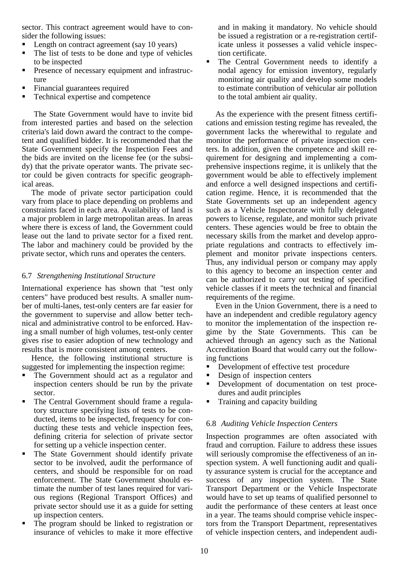sector. This contract agreement would have to consider the following issues:

- Length on contract agreement (say 10 years)
- The list of tests to be done and type of vehicles to be inspected
- **Presence of necessary equipment and infrastruc**ture
- Financial guarantees required
- Technical expertise and competence

The State Government would have to invite bid from interested parties and based on the selection criteria's laid down award the contract to the competent and qualified bidder. It is recommended that the State Government specify the Inspection Fees and the bids are invited on the license fee (or the subsidy) that the private operator wants. The private sector could be given contracts for specific geographical areas.

The mode of private sector participation could vary from place to place depending on problems and constraints faced in each area. Availability of land is a major problem in large metropolitan areas. In areas where there is excess of land, the Government could lease out the land to private sector for a fixed rent. The labor and machinery could be provided by the private sector, which runs and operates the centers.

# 6.7 *Strengthening Institutional Structure*

International experience has shown that "test only centers" have produced best results. A smaller number of multi-lanes, test-only centers are far easier for the government to supervise and allow better technical and administrative control to be enforced. Having a small number of high volumes, test-only center gives rise to easier adoption of new technology and results that is more consistent among centers.

Hence, the following institutional structure is suggested for implementing the inspection regime:

- The Government should act as a regulator and inspection centers should be run by the private sector.
- The Central Government should frame a regulatory structure specifying lists of tests to be conducted, items to be inspected, frequency for conducting these tests and vehicle inspection fees, defining criteria for selection of private sector for setting up a vehicle inspection center.
- The State Government should identify private sector to be involved, audit the performance of centers, and should be responsible for on road enforcement. The State Government should estimate the number of test lanes required for various regions (Regional Transport Offices) and private sector should use it as a guide for setting up inspection centers.
- The program should be linked to registration or insurance of vehicles to make it more effective

and in making it mandatory. No vehicle should be issued a registration or a re-registration certificate unless it possesses a valid vehicle inspection certificate.

 The Central Government needs to identify a nodal agency for emission inventory, regularly monitoring air quality and develop some models to estimate contribution of vehicular air pollution to the total ambient air quality.

As the experience with the present fitness certifications and emission testing regime has revealed, the government lacks the wherewithal to regulate and monitor the performance of private inspection centers. In addition, given the competence and skill requirement for designing and implementing a comprehensive inspections regime, it is unlikely that the government would be able to effectively implement and enforce a well designed inspections and certification regime. Hence, it is recommended that the State Governments set up an independent agency such as a Vehicle Inspectorate with fully delegated powers to license, regulate, and monitor such private centers. These agencies would be free to obtain the necessary skills from the market and develop appropriate regulations and contracts to effectively implement and monitor private inspections centers. Thus, any individual person or company may apply to this agency to become an inspection center and can be authorized to carry out testing of specified vehicle classes if it meets the technical and financial requirements of the regime.

Even in the Union Government, there is a need to have an independent and credible regulatory agency to monitor the implementation of the inspection regime by the State Governments. This can be achieved through an agency such as the National Accreditation Board that would carry out the following functions

- **•** Development of effective test procedure
- Design of inspection centers
- **•** Development of documentation on test procedures and audit principles
- Training and capacity building

# 6.8 *Auditing Vehicle Inspection Centers*

Inspection programmes are often associated with fraud and corruption. Failure to address these issues will seriously compromise the effectiveness of an inspection system. A well functioning audit and quality assurance system is crucial for the acceptance and success of any inspection system. The State Transport Department or the Vehicle Inspectorate would have to set up teams of qualified personnel to audit the performance of these centers at least once in a year. The teams should comprise vehicle inspectors from the Transport Department, representatives of vehicle inspection centers, and independent audi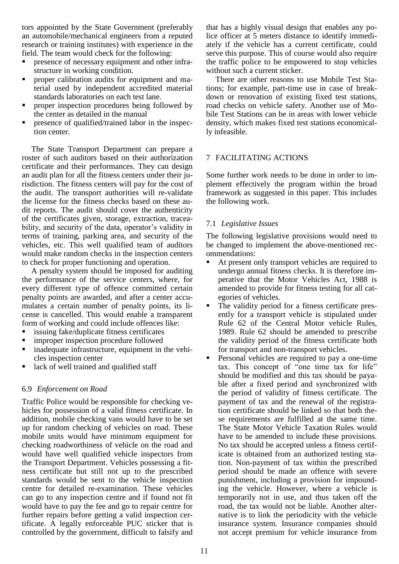tors appointed by the State Government (preferably an automobile/mechanical engineers from a reputed research or training institutes) with experience in the field. The team would check for the following:

- presence of necessary equipment and other infrastructure in working condition.
- proper calibration audits for equipment and material used by independent accredited material standards laboratories on each test lane.
- proper inspection procedures being followed by the center as detailed in the manual
- presence of qualified/trained labor in the inspection center.

The State Transport Department can prepare a roster of such auditors based on their authorization certificate and their performances. They can design an audit plan for all the fitness centers under their jurisdiction. The fitness centers will pay for the cost of the audit. The transport authorities will re-validate the license for the fitness checks based on these audit reports. The audit should cover the authenticity of the certificates given, storage, extraction, traceability, and security of the data, operator's validity in terms of training, parking area, and security of the vehicles, etc. This well qualified team of auditors would make random checks in the inspection centers to check for proper functioning and operation.

A penalty system should be imposed for auditing the performance of the service centers, where, for every different type of offence committed certain penalty points are awarded, and after a center accumulates a certain number of penalty points, its license is cancelled. This would enable a transparent form of working and could include offences like:

- issuing fake/duplicate fitness certificates
- improper inspection procedure followed
- **ightharror** inadequate infrastructure, equipment in the vehicles inspection center
- lack of well trained and qualified staff

#### 6.9 *Enforcement on Road*

Traffic Police would be responsible for checking vehicles for possession of a valid fitness certificate. In addition, mobile checking vans would have to be set up for random checking of vehicles on road. These mobile units would have minimum equipment for checking roadworthiness of vehicle on the road and would have well qualified vehicle inspectors from the Transport Department. Vehicles possessing a fitness certificate but still not up to the prescribed standards would be sent to the vehicle inspection centre for detailed re-examination. These vehicles can go to any inspection centre and if found not fit would have to pay the fee and go to repair centre for further repairs before getting a valid inspection certificate. A legally enforceable PUC sticker that is controlled by the government, difficult to falsify and

that has a highly visual design that enables any police officer at 5 meters distance to identify immediately if the vehicle has a current certificate, could serve this purpose. This of course would also require the traffic police to be empowered to stop vehicles without such a current sticker.

There are other reasons to use Mobile Test Stations; for example, part-time use in case of breakdown or renovation of existing fixed test stations, road checks on vehicle safety. Another use of Mobile Test Stations can be in areas with lower vehicle density, which makes fixed test stations economically infeasible.

# 7 FACILITATING ACTIONS

Some further work needs to be done in order to implement effectively the program within the broad framework as suggested in this paper. This includes the following work.

# 7.1 *Legislative Issues*

The following legislative provisions would need to be changed to implement the above-mentioned recommendations:

- At present only transport vehicles are required to undergo annual fitness checks. It is therefore imperative that the Motor Vehicles Act, 1988 is amended to provide for fitness testing for all categories of vehicles.
- The validity period for a fitness certificate presently for a transport vehicle is stipulated under Rule 62 of the Central Motor vehicle Rules, 1989. Rule 62 should be amended to prescribe the validity period of the fitness certificate both for transport and non-transport vehicles.
- Personal vehicles are required to pay a one-time tax. This concept of "one time tax for life" should be modified and this tax should be payable after a fixed period and synchronized with the period of validity of fitness certificate. The payment of tax and the renewal of the registration certificate should be linked so that both these requirements are fulfilled at the same time. The State Motor Vehicle Taxation Rules would have to be amended to include these provisions. No tax should be accepted unless a fitness certificate is obtained from an authorized testing station. Non-payment of tax within the prescribed period should be made an offence with severe punishment, including a provision for impounding the vehicle. However, where a vehicle is temporarily not in use, and thus taken off the road, the tax would not be liable. Another alternative is to link the periodicity with the vehicle insurance system. Insurance companies should not accept premium for vehicle insurance from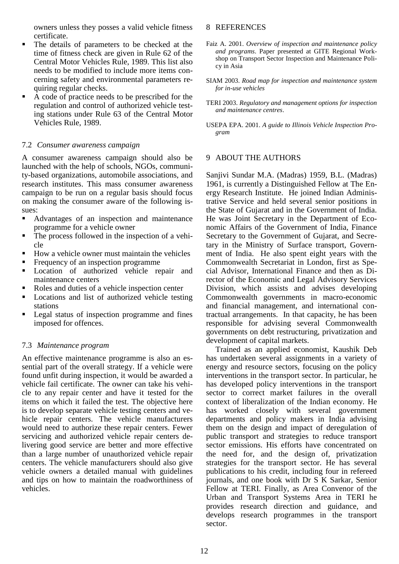owners unless they posses a valid vehicle fitness certificate.

- The details of parameters to be checked at the time of fitness check are given in Rule 62 of the Central Motor Vehicles Rule, 1989. This list also needs to be modified to include more items concerning safety and environmental parameters requiring regular checks.
- A code of practice needs to be prescribed for the regulation and control of authorized vehicle testing stations under Rule 63 of the Central Motor Vehicles Rule, 1989.

### 7.2 *Consumer awareness campaign*

A consumer awareness campaign should also be launched with the help of schools, NGOs, community-based organizations, automobile associations, and research institutes. This mass consumer awareness campaign to be run on a regular basis should focus on making the consumer aware of the following issues:

- Advantages of an inspection and maintenance programme for a vehicle owner
- The process followed in the inspection of a vehicle
- How a vehicle owner must maintain the vehicles
- Frequency of an inspection programme
- Location of authorized vehicle repair and maintenance centers
- Roles and duties of a vehicle inspection center
- Locations and list of authorized vehicle testing stations
- Legal status of inspection programme and fines imposed for offences.

# 7.3 *Maintenance program*

An effective maintenance programme is also an essential part of the overall strategy. If a vehicle were found unfit during inspection, it would be awarded a vehicle fail certificate. The owner can take his vehicle to any repair center and have it tested for the items on which it failed the test. The objective here is to develop separate vehicle testing centers and vehicle repair centers. The vehicle manufacturers would need to authorize these repair centers. Fewer servicing and authorized vehicle repair centers delivering good service are better and more effective than a large number of unauthorized vehicle repair centers. The vehicle manufacturers should also give vehicle owners a detailed manual with guidelines and tips on how to maintain the roadworthiness of vehicles.

#### 8 REFERENCES

- Faiz A. 2001. *Overview of inspection and maintenance policy and programs*. Paper presented at GITE Regional Workshop on Transport Sector Inspection and Maintenance Policy in Asia
- SIAM 2003. *Road map for inspection and maintenance system for in-use vehicles*
- TERI 2003. *Regulatory and management options for inspection and maintenance centres*.
- USEPA EPA. 2001. *A guide to Illinois Vehicle Inspection Program*

# 9 ABOUT THE AUTHORS

Sanjivi Sundar M.A. (Madras) 1959, B.L. (Madras) 1961, is currently a Distinguished Fellow at The Energy Research Institute. He joined Indian Administrative Service and held several senior positions in the State of Gujarat and in the Government of India. He was Joint Secretary in the Department of Economic Affairs of the Government of India, Finance Secretary to the Government of Gujarat, and Secretary in the Ministry of Surface transport, Government of India. He also spent eight years with the Commonwealth Secretariat in London, first as Special Advisor, International Finance and then as Director of the Economic and Legal Advisory Services Division, which assists and advises developing Commonwealth governments in macro-economic and financial management, and international contractual arrangements. In that capacity, he has been responsible for advising several Commonwealth governments on debt restructuring, privatization and development of capital markets.

Trained as an applied economist, Kaushik Deb has undertaken several assignments in a variety of energy and resource sectors, focusing on the policy interventions in the transport sector. In particular, he has developed policy interventions in the transport sector to correct market failures in the overall context of liberalization of the Indian economy. He has worked closely with several government departments and policy makers in India advising them on the design and impact of deregulation of public transport and strategies to reduce transport sector emissions. His efforts have concentrated on the need for, and the design of, privatization strategies for the transport sector. He has several publications to his credit, including four in refereed journals, and one book with Dr S K Sarkar, Senior Fellow at TERI. Finally, as Area Convenor of the Urban and Transport Systems Area in TERI he provides research direction and guidance, and develops research programmes in the transport sector.